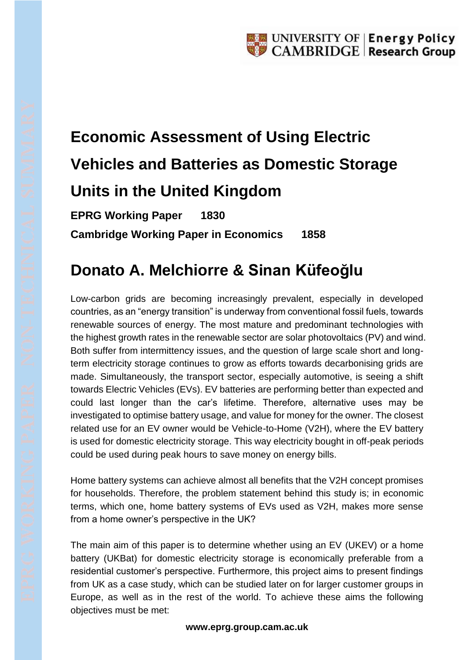## **Economic Assessment of Using Electric Vehicles and Batteries as Domestic Storage Units in the United Kingdom**

**EPRG Working Paper 1830 Cambridge Working Paper in Economics 1858**

## **Donato A. Melchiorre & Sinan Küfeoğlu**

Low-carbon grids are becoming increasingly prevalent, especially in developed countries, as an "energy transition" is underway from conventional fossil fuels, towards renewable sources of energy. The most mature and predominant technologies with the highest growth rates in the renewable sector are solar photovoltaics (PV) and wind. Both suffer from intermittency issues, and the question of large scale short and longterm electricity storage continues to grow as efforts towards decarbonising grids are made. Simultaneously, the transport sector, especially automotive, is seeing a shift towards Electric Vehicles (EVs). EV batteries are performing better than expected and could last longer than the car's lifetime. Therefore, alternative uses may be investigated to optimise battery usage, and value for money for the owner. The closest related use for an EV owner would be Vehicle-to-Home (V2H), where the EV battery is used for domestic electricity storage. This way electricity bought in off-peak periods could be used during peak hours to save money on energy bills.

Home battery systems can achieve almost all benefits that the V2H concept promises for households. Therefore, the problem statement behind this study is; in economic terms, which one, home battery systems of EVs used as V2H, makes more sense from a home owner's perspective in the UK?

The main aim of this paper is to determine whether using an EV (UKEV) or a home battery (UKBat) for domestic electricity storage is economically preferable from a residential customer's perspective. Furthermore, this project aims to present findings from UK as a case study, which can be studied later on for larger customer groups in Europe, as well as in the rest of the world. To achieve these aims the following objectives must be met:

## **www.eprg.group.cam.ac.uk**